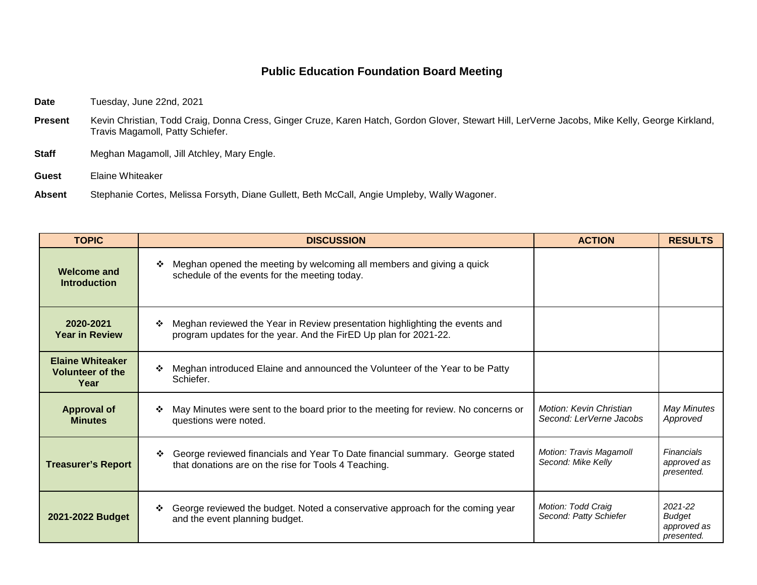## **Public Education Foundation Board Meeting**

Date Tuesday, June 22nd, 2021

- Present Kevin Christian, Todd Craig, Donna Cress, Ginger Cruze, Karen Hatch, Gordon Glover, Stewart Hill, LerVerne Jacobs, Mike Kelly, George Kirkland, Travis Magamoll, Patty Schiefer.
- **Staff** Meghan Magamoll, Jill Atchley, Mary Engle.
- **Guest** Elaine Whiteaker

**Absent** Stephanie Cortes, Melissa Forsyth, Diane Gullett, Beth McCall, Angie Umpleby, Wally Wagoner.

| <b>TOPIC</b>                                               | <b>DISCUSSION</b>                                                                                                                                    | <b>ACTION</b>                                      | <b>RESULTS</b>                                        |
|------------------------------------------------------------|------------------------------------------------------------------------------------------------------------------------------------------------------|----------------------------------------------------|-------------------------------------------------------|
| <b>Welcome and</b><br><b>Introduction</b>                  | Meghan opened the meeting by welcoming all members and giving a quick<br>❖<br>schedule of the events for the meeting today.                          |                                                    |                                                       |
| 2020-2021<br><b>Year in Review</b>                         | Meghan reviewed the Year in Review presentation highlighting the events and<br>❖<br>program updates for the year. And the FirED Up plan for 2021-22. |                                                    |                                                       |
| <b>Elaine Whiteaker</b><br><b>Volunteer of the</b><br>Year | Meghan introduced Elaine and announced the Volunteer of the Year to be Patty<br>❖<br>Schiefer.                                                       |                                                    |                                                       |
| <b>Approval of</b><br><b>Minutes</b>                       | May Minutes were sent to the board prior to the meeting for review. No concerns or<br>❖<br>questions were noted.                                     | Motion: Kevin Christian<br>Second: LerVerne Jacobs | May Minutes<br>Approved                               |
| <b>Treasurer's Report</b>                                  | George reviewed financials and Year To Date financial summary. George stated<br>❖<br>that donations are on the rise for Tools 4 Teaching.            | Motion: Travis Magamoll<br>Second: Mike Kelly      | Financials<br>approved as<br>presented.               |
| 2021-2022 Budget                                           | George reviewed the budget. Noted a conservative approach for the coming year<br>❖<br>and the event planning budget.                                 | Motion: Todd Craig<br>Second: Patty Schiefer       | 2021-22<br><b>Budget</b><br>approved as<br>presented. |